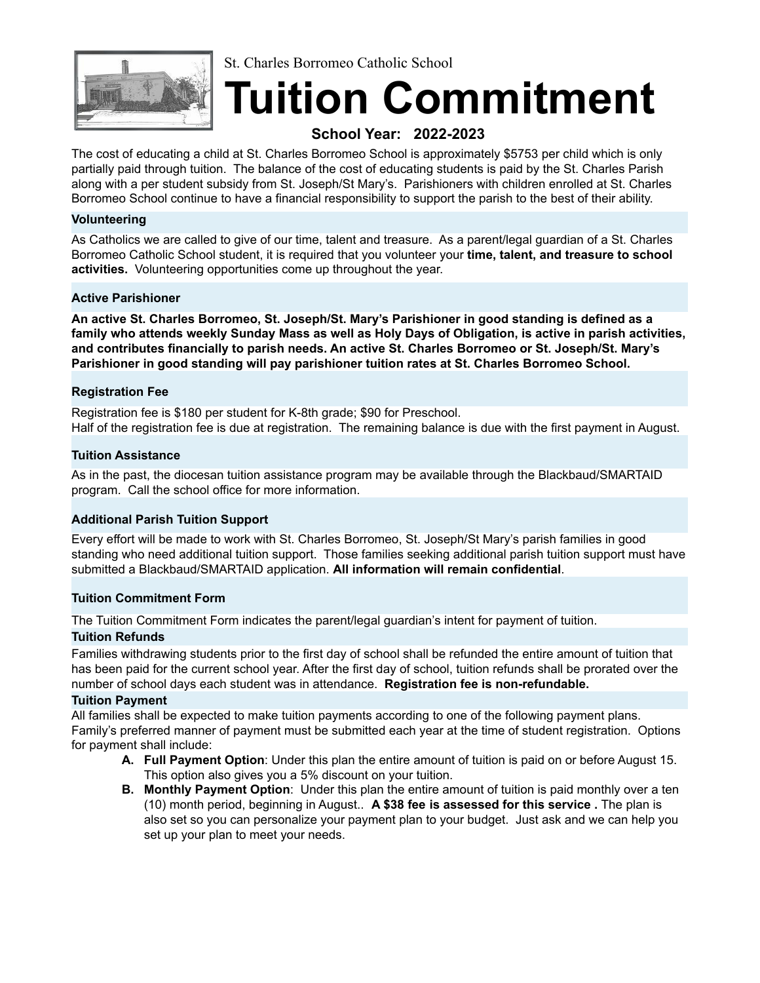

St. Charles Borromeo Catholic School

# **Tuition Commitment**

### **School Year: 2022-2023**

The cost of educating a child at St. Charles Borromeo School is approximately \$5753 per child which is only partially paid through tuition. The balance of the cost of educating students is paid by the St. Charles Parish along with a per student subsidy from St. Joseph/St Mary's. Parishioners with children enrolled at St. Charles Borromeo School continue to have a financial responsibility to support the parish to the best of their ability.

#### **Volunteering**

As Catholics we are called to give of our time, talent and treasure. As a parent/legal guardian of a St. Charles Borromeo Catholic School student, it is required that you volunteer your **time, talent, and treasure to school activities.** Volunteering opportunities come up throughout the year.

#### **Active Parishioner**

**An active St. Charles Borromeo, St. Joseph/St. Mary's Parishioner in good standing is defined as a** family who attends weekly Sunday Mass as well as Holy Days of Obligation, is active in parish activities, **and contributes financially to parish needs. An active St. Charles Borromeo or St. Joseph/St. Mary's Parishioner in good standing will pay parishioner tuition rates at St. Charles Borromeo School.**

#### **Registration Fee**

Registration fee is \$180 per student for K-8th grade; \$90 for Preschool. Half of the registration fee is due at registration. The remaining balance is due with the first payment in August.

#### **Tuition Assistance**

As in the past, the diocesan tuition assistance program may be available through the Blackbaud/SMARTAID program. Call the school office for more information.

#### **Additional Parish Tuition Support**

Every effort will be made to work with St. Charles Borromeo, St. Joseph/St Mary's parish families in good standing who need additional tuition support. Those families seeking additional parish tuition support must have submitted a Blackbaud/SMARTAID application. **All information will remain confidential**.

#### **Tuition Commitment Form**

The Tuition Commitment Form indicates the parent/legal guardian's intent for payment of tuition.

#### **Tuition Refunds**

Families withdrawing students prior to the first day of school shall be refunded the entire amount of tuition that has been paid for the current school year. After the first day of school, tuition refunds shall be prorated over the number of school days each student was in attendance. **Registration fee is non-refundable.**

#### **Tuition Payment**

All families shall be expected to make tuition payments according to one of the following payment plans. Family's preferred manner of payment must be submitted each year at the time of student registration. Options for payment shall include:

- **A. Full Payment Option**: Under this plan the entire amount of tuition is paid on or before August 15. This option also gives you a 5% discount on your tuition.
- **B. Monthly Payment Option**: Under this plan the entire amount of tuition is paid monthly over a ten (10) month period, beginning in August.. **A \$38 fee is assessed for this service .** The plan is also set so you can personalize your payment plan to your budget. Just ask and we can help you set up your plan to meet your needs.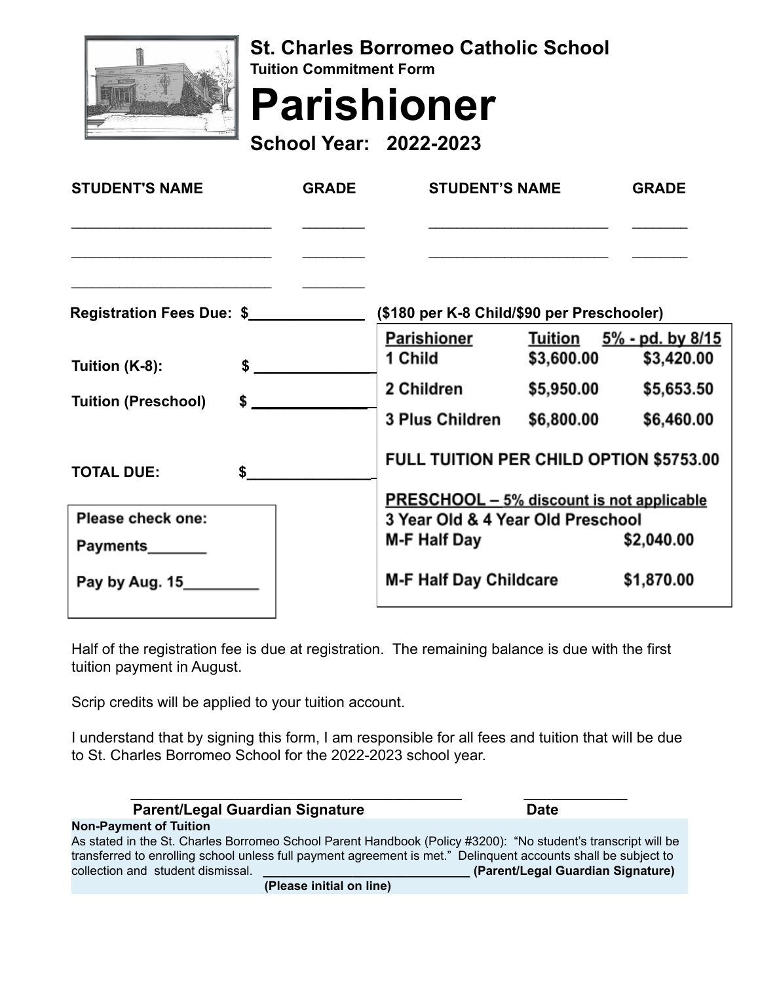

**St. Charles Borromeo Catholic School Tuition Commitment Form**

**Parishioner**

**School Year: 2022-2023**

| <b>GRADE</b>              | <b>STUDENT'S NAME</b>                          |                                            | <b>GRADE</b>                                                                                                                   |  |
|---------------------------|------------------------------------------------|--------------------------------------------|--------------------------------------------------------------------------------------------------------------------------------|--|
|                           |                                                |                                            |                                                                                                                                |  |
| Registration Fees Due: \$ |                                                | (\$180 per K-8 Child/\$90 per Preschooler) |                                                                                                                                |  |
|                           | 1 Child                                        | \$3,600.00                                 | Tuition $5\%$ - pd. by $8/15$<br>\$3,420.00                                                                                    |  |
|                           | 2 Children                                     | \$5,950.00                                 | \$5,653.50                                                                                                                     |  |
|                           | 3 Plus Children                                | \$6,800.00                                 | \$6,460.00                                                                                                                     |  |
|                           | <b>FULL TUITION PER CHILD OPTION \$5753.00</b> |                                            |                                                                                                                                |  |
|                           |                                                |                                            |                                                                                                                                |  |
|                           | \$2,040.00                                     |                                            |                                                                                                                                |  |
|                           |                                                |                                            |                                                                                                                                |  |
|                           |                                                |                                            | \$1,870.00                                                                                                                     |  |
|                           | $\sim$<br>$\sim$<br>$\mathsf{s}$               | <b>M-F Half Day</b>                        | Parishioner<br><b>PRESCHOOL - 5% discount is not applicable</b><br>3 Year Old & 4 Year Old Preschool<br>M-F Half Day Childcare |  |

Half of the registration fee is due at registration. The remaining balance is due with the first tuition payment in August.

Scrip credits will be applied to your tuition account.

I understand that by signing this form, I am responsible for all fees and tuition that will be due to St. Charles Borromeo School for the 2022-2023 school year.

| <b>Parent/Legal Guardian Signature</b>                                                                         | <b>Date</b>                       |  |  |  |
|----------------------------------------------------------------------------------------------------------------|-----------------------------------|--|--|--|
| <b>Non-Payment of Tuition</b>                                                                                  |                                   |  |  |  |
| As stated in the St. Charles Borromeo School Parent Handbook (Policy #3200): "No student's transcript will be  |                                   |  |  |  |
| transferred to enrolling school unless full payment agreement is met." Delinguent accounts shall be subject to |                                   |  |  |  |
| collection and student dismissal.                                                                              | (Parent/Legal Guardian Signature) |  |  |  |
| (Please initial on line)                                                                                       |                                   |  |  |  |